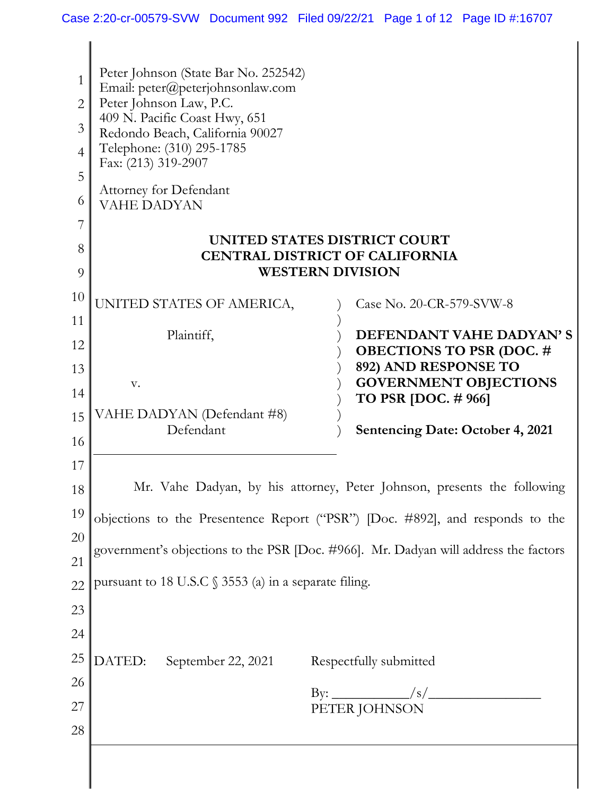$\overline{\phantom{a}}$ 

| 1<br>2<br>3<br>$\overline{4}$<br>5<br>6<br>8<br>9<br>10<br>11 | Peter Johnson (State Bar No. 252542)<br>Email: peter@peterjohnsonlaw.com<br>Peter Johnson Law, P.C.<br>409 N. Pacific Coast Hwy, 651<br>Redondo Beach, California 90027<br>Telephone: (310) 295-1785<br>Fax: (213) 319-2907<br><b>Attorney for Defendant</b><br><b>VAHE DADYAN</b><br>UNITED STATES DISTRICT COURT<br><b>CENTRAL DISTRICT OF CALIFORNIA</b><br><b>WESTERN DIVISION</b><br>UNITED STATES OF AMERICA,<br>Case No. 20-CR-579-SVW-8<br>DEFENDANT VAHE DADYAN'S<br>Plaintiff, |  |  |
|---------------------------------------------------------------|------------------------------------------------------------------------------------------------------------------------------------------------------------------------------------------------------------------------------------------------------------------------------------------------------------------------------------------------------------------------------------------------------------------------------------------------------------------------------------------|--|--|
| 12<br>13                                                      | <b>OBECTIONS TO PSR (DOC. #</b><br>892) AND RESPONSE TO<br><b>GOVERNMENT OBJECTIONS</b><br>V.                                                                                                                                                                                                                                                                                                                                                                                            |  |  |
| 14<br>15<br>16                                                | <b>TO PSR [DOC. # 966]</b><br>VAHE DADYAN (Defendant #8)<br>Defendant<br><b>Sentencing Date: October 4, 2021</b>                                                                                                                                                                                                                                                                                                                                                                         |  |  |
| 17<br>18                                                      | Mr. Vahe Dadyan, by his attorney, Peter Johnson, presents the following                                                                                                                                                                                                                                                                                                                                                                                                                  |  |  |
| 19<br>20<br>21<br>22                                          | objections to the Presentence Report ("PSR") [Doc. #892], and responds to the<br>government's objections to the PSR [Doc. #966]. Mr. Dadyan will address the factors<br>pursuant to 18 U.S.C § 3553 (a) in a separate filing.                                                                                                                                                                                                                                                            |  |  |
| 23<br>24<br>25<br>26                                          | DATED:<br>September 22, 2021<br>Respectfully submitted                                                                                                                                                                                                                                                                                                                                                                                                                                   |  |  |
| 27<br>28                                                      | PETER JOHNSON                                                                                                                                                                                                                                                                                                                                                                                                                                                                            |  |  |

 $\parallel$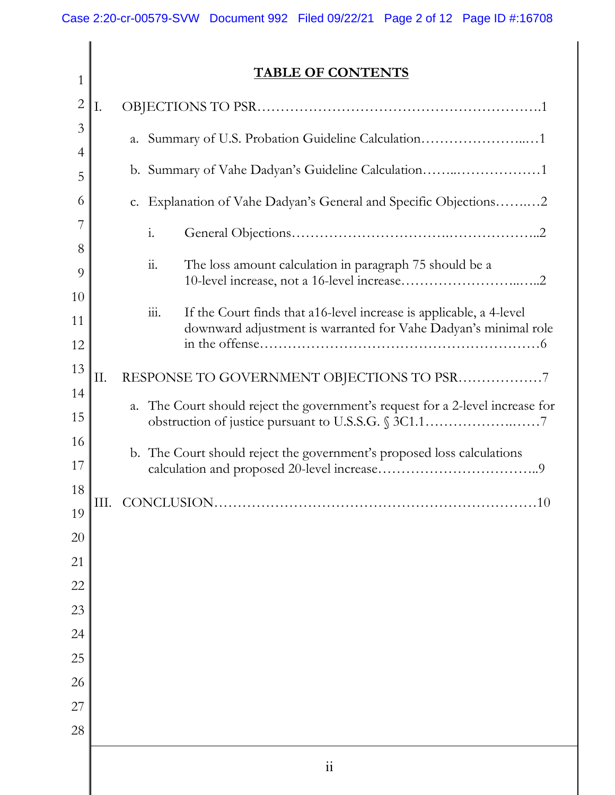| $\mathbf{1}$   | <b>TABLE OF CONTENTS</b> |                                                    |                                                                                                |  |  |
|----------------|--------------------------|----------------------------------------------------|------------------------------------------------------------------------------------------------|--|--|
| $\overline{2}$ | I.                       |                                                    |                                                                                                |  |  |
| 3              |                          |                                                    | a. Summary of U.S. Probation Guideline Calculation1                                            |  |  |
| $\overline{4}$ |                          | b. Summary of Vahe Dadyan's Guideline Calculation1 |                                                                                                |  |  |
| 5              |                          |                                                    |                                                                                                |  |  |
| 6              |                          |                                                    | c. Explanation of Vahe Dadyan's General and Specific Objections2                               |  |  |
| 7<br>8         |                          |                                                    | $\mathbf{i}$ .                                                                                 |  |  |
| 9              |                          |                                                    | $\dddot{\mathbf{1}}$ .<br>The loss amount calculation in paragraph 75 should be a              |  |  |
| 10             |                          |                                                    |                                                                                                |  |  |
| 11             |                          |                                                    | $\dddot{\mathbf{m}}$ .<br>If the Court finds that a 16-level increase is applicable, a 4-level |  |  |
| 12             |                          |                                                    | downward adjustment is warranted for Vahe Dadyan's minimal role                                |  |  |
| 13             | Π.                       |                                                    | RESPONSE TO GOVERNMENT OBJECTIONS TO PSR7                                                      |  |  |
| 14             |                          |                                                    | The Court should reject the government's request for a 2-level increase for                    |  |  |
| 15             | a.                       |                                                    |                                                                                                |  |  |
| 16             |                          |                                                    | b. The Court should reject the government's proposed loss calculations                         |  |  |
| 17             |                          |                                                    |                                                                                                |  |  |
| $18\,$         |                          | III. CONCLUSION<br>.10                             |                                                                                                |  |  |
| 20             | 19                       |                                                    |                                                                                                |  |  |
| 21             |                          |                                                    |                                                                                                |  |  |
| 22             |                          |                                                    |                                                                                                |  |  |
| 23             |                          |                                                    |                                                                                                |  |  |
| 24             |                          |                                                    |                                                                                                |  |  |
| 25             |                          |                                                    |                                                                                                |  |  |
| 26             |                          |                                                    |                                                                                                |  |  |
| 27             |                          |                                                    |                                                                                                |  |  |
| 28             |                          |                                                    |                                                                                                |  |  |
|                |                          |                                                    | $\mathbf{ii}$                                                                                  |  |  |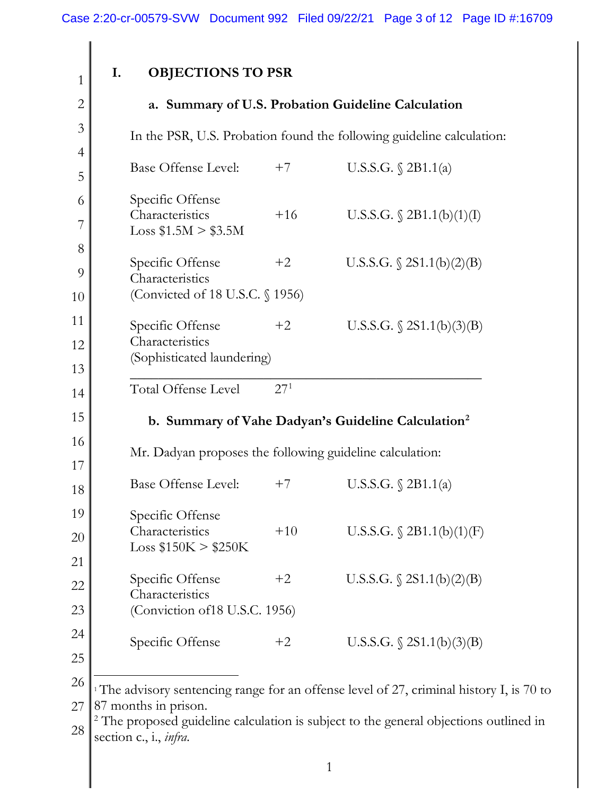| <b>OBJECTIONS TO PSR</b><br>I. |  |
|--------------------------------|--|
|--------------------------------|--|

1

| $\overline{2}$ |                                                          |                 | a. Summary of U.S. Probation Guideline Calculation                                                  |
|----------------|----------------------------------------------------------|-----------------|-----------------------------------------------------------------------------------------------------|
| 3              |                                                          |                 | In the PSR, U.S. Probation found the following guideline calculation:                               |
| $\overline{4}$ | <b>Base Offense Level:</b>                               | $+7$            | U.S.S.G. $\S$ 2B1.1(a)                                                                              |
| 5              |                                                          |                 |                                                                                                     |
| 6              | Specific Offense<br>Characteristics                      | $+16$           | U.S.S.G. $\S$ 2B1.1(b)(1)(I)                                                                        |
| 7              | $Loss$ \$1.5M $>$ \$3.5M                                 |                 |                                                                                                     |
| 8              | Specific Offense                                         | $+2$            | U.S.S.G. $\S$ 2S1.1(b)(2)(B)                                                                        |
| 9              | Characteristics                                          |                 |                                                                                                     |
| 10             | (Convicted of 18 U.S.C. § 1956)                          |                 |                                                                                                     |
| 11             | Specific Offense                                         | $+2$            | U.S.S.G. $\S$ 2S1.1(b)(3)(B)                                                                        |
| 12             | Characteristics<br>(Sophisticated laundering)            |                 |                                                                                                     |
| 13             |                                                          |                 |                                                                                                     |
| 14             | Total Offense Level                                      | 27 <sup>1</sup> |                                                                                                     |
| 15             |                                                          |                 | b. Summary of Vahe Dadyan's Guideline Calculation <sup>2</sup>                                      |
| 16<br>17       | Mr. Dadyan proposes the following guideline calculation: |                 |                                                                                                     |
| 18             | Base Offense Level:                                      | $+7$            | U.S.S.G. § 2B1.1(a)                                                                                 |
| 19             | Specific Offense                                         |                 |                                                                                                     |
| $20\,$         | Characteristics<br>Loss \$150K > \$250K                  | $+10$           | U.S.S.G. $$2B1.1(b)(1)(F)$                                                                          |
| 21             |                                                          |                 |                                                                                                     |
| 22             | Specific Offense<br>Characteristics                      | $+2$            | U.S.S.G. $\S$ 2S1.1(b)(2)(B)                                                                        |
| 23             | (Conviction of 18 U.S.C. 1956)                           |                 |                                                                                                     |
| 24             |                                                          |                 |                                                                                                     |
| 25             | Specific Offense                                         | $+2$            | U.S.S.G. $\S 2S1.1(b)(3)(B)$                                                                        |
| 26             |                                                          |                 |                                                                                                     |
| 27             | 87 months in prison.                                     |                 | <sup>1</sup> The advisory sentencing range for an offense level of 27, criminal history I, is 70 to |
|                | seed midoline celevle                                    |                 |                                                                                                     |

<span id="page-2-1"></span><span id="page-2-0"></span>28 <sup>2</sup> The proposed guideline calculation is subject to the general objections outlined in section c., i., *infra*.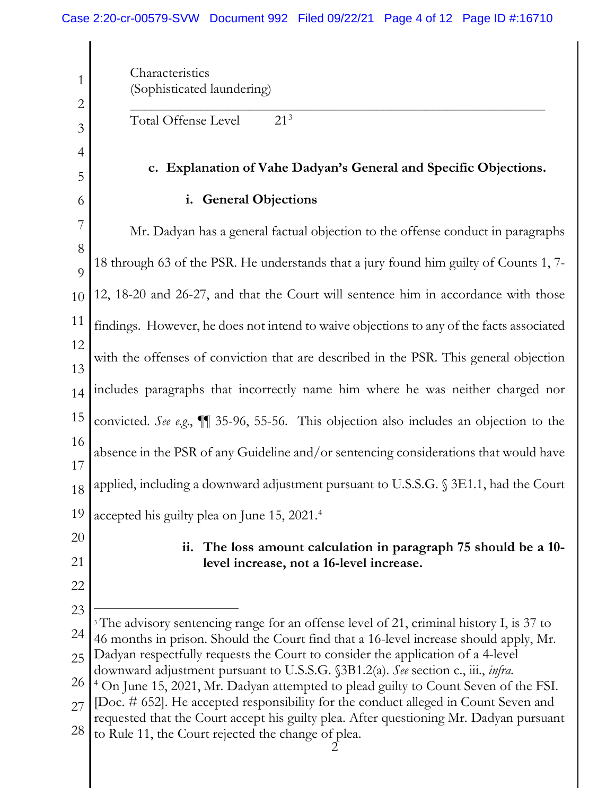<span id="page-3-1"></span><span id="page-3-0"></span>1 2 3 4 5 6 7 8  $\overline{Q}$ 10 11 12 13 14 15 16 17 18 19 20 21 22 23 24 25 26 27 28 **Characteristics** (Sophisticated laundering) \_\_\_\_\_\_\_\_\_\_\_\_\_\_\_\_\_\_\_\_\_\_\_\_\_\_\_\_\_\_\_\_\_\_\_\_\_\_\_\_\_\_\_\_\_\_\_\_\_\_\_\_\_\_\_\_\_\_\_ Total Offense Level 21<sup>[3](#page-3-0)</sup> **c. Explanation of Vahe Dadyan's General and Specific Objections. i. General Objections** Mr. Dadyan has a general factual objection to the offense conduct in paragraphs 18 through 63 of the PSR. He understands that a jury found him guilty of Counts 1, 7- 12, 18-20 and 26-27, and that the Court will sentence him in accordance with those findings. However, he does not intend to waive objections to any of the facts associated with the offenses of conviction that are described in the PSR. This general objection includes paragraphs that incorrectly name him where he was neither charged nor convicted. *See e.g*., ¶¶ 35-96, 55-56. This objection also includes an objection to the absence in the PSR of any Guideline and/or sentencing considerations that would have applied, including a downward adjustment pursuant to U.S.S.G. § 3E1.1, had the Court accepted his guilty plea on June 15, 2021.<sup>[4](#page-3-1)</sup> **ii. The loss amount calculation in paragraph 75 should be a 10 level increase, not a 16-level increase.**  <sup>3</sup> The advisory sentencing range for an offense level of 21, criminal history I, is 37 to 46 months in prison. Should the Court find that a 16-level increase should apply, Mr. Dadyan respectfully requests the Court to consider the application of a 4-level downward adjustment pursuant to U.S.S.G. §3B1.2(a). *See* section c., iii., *infra*. 4 On June 15, 2021, Mr. Dadyan attempted to plead guilty to Count Seven of the FSI. [Doc. # 652]. He accepted responsibility for the conduct alleged in Count Seven and requested that the Court accept his guilty plea. After questioning Mr. Dadyan pursuant to Rule 11, the Court rejected the change of plea.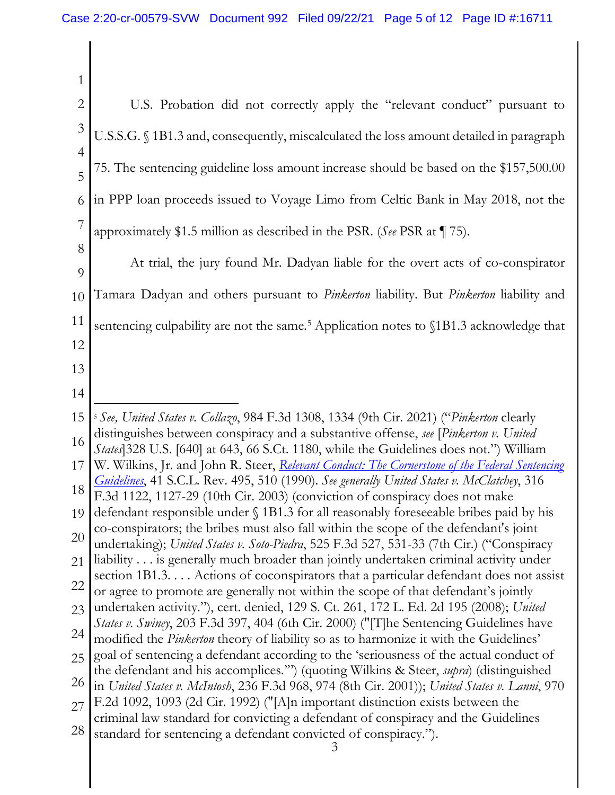<span id="page-4-0"></span>

| 1                   |                                                                                                                                                                                                     |  |  |
|---------------------|-----------------------------------------------------------------------------------------------------------------------------------------------------------------------------------------------------|--|--|
| $\overline{2}$      | U.S. Probation did not correctly apply the "relevant conduct" pursuant to                                                                                                                           |  |  |
| 3                   | U.S.S.G. § 1B1.3 and, consequently, miscalculated the loss amount detailed in paragraph                                                                                                             |  |  |
| $\overline{4}$<br>5 | 75. The sentencing guideline loss amount increase should be based on the \$157,500.00                                                                                                               |  |  |
| 6                   | in PPP loan proceeds issued to Voyage Limo from Celtic Bank in May 2018, not the                                                                                                                    |  |  |
| 7                   | approximately \$1.5 million as described in the PSR. (See PSR at $\P$ 75).                                                                                                                          |  |  |
| 8<br>9              | At trial, the jury found Mr. Dadyan liable for the overt acts of co-conspirator                                                                                                                     |  |  |
| 10                  | Tamara Dadyan and others pursuant to <i>Pinkerton</i> liability. But <i>Pinkerton</i> liability and                                                                                                 |  |  |
| 11                  | sentencing culpability are not the same. <sup>5</sup> Application notes to §1B1.3 acknowledge that                                                                                                  |  |  |
| 12                  |                                                                                                                                                                                                     |  |  |
| 13                  |                                                                                                                                                                                                     |  |  |
| 14                  |                                                                                                                                                                                                     |  |  |
| 15                  | <sup>5</sup> See, United States v. Collazo, 984 F.3d 1308, 1334 (9th Cir. 2021) ("Pinkerton clearly<br>distinguishes between conspiracy and a substantive offense, see [Pinkerton v. United]        |  |  |
| 16                  | <i>States</i> 328 U.S. [640] at 643, 66 S.Ct. 1180, while the Guidelines does not.") William                                                                                                        |  |  |
| 17<br>18            | W. Wilkins, Jr. and John R. Steer, <i>Relevant Conduct: The Cornerstone of the Federal Sentencing</i><br>Guidelines, 41 S.C.L. Rev. 495, 510 (1990). See generally United States v. McClatchey, 316 |  |  |
| 19                  | F.3d 1122, 1127-29 (10th Cir. 2003) (conviction of conspiracy does not make<br>defendant responsible under § 1B1.3 for all reasonably foreseeable bribes paid by his                                |  |  |
| 20                  | co-conspirators; the bribes must also fall within the scope of the defendant's joint                                                                                                                |  |  |
| 21                  | undertaking); United States v. Soto-Piedra, 525 F.3d 527, 531-33 (7th Cir.) ("Conspiracy<br>liability is generally much broader than jointly undertaken criminal activity under                     |  |  |
| 22                  | section 1B1.3. Actions of coconspirators that a particular defendant does not assist                                                                                                                |  |  |
| 23                  | or agree to promote are generally not within the scope of that defendant's jointly<br>undertaken activity."), cert. denied, 129 S. Ct. 261, 172 L. Ed. 2d 195 (2008); United                        |  |  |
| 24                  | States v. Swiney, 203 F.3d 397, 404 (6th Cir. 2000) ("[T]he Sentencing Guidelines have<br>modified the <i>Pinkerton</i> theory of liability so as to harmonize it with the Guidelines'              |  |  |
| 25                  | goal of sentencing a defendant according to the 'seriousness of the actual conduct of                                                                                                               |  |  |
| <b>26</b>           | the defendant and his accomplices."") (quoting Wilkins & Steer, <i>supra</i> ) (distinguished<br>in United States v. McIntosh, 236 F.3d 968, 974 (8th Cir. 2001)); United States v. Lanni, 970      |  |  |
| 27                  | F.2d 1092, 1093 (2d Cir. 1992) ("[A]n important distinction exists between the                                                                                                                      |  |  |
| 28                  | criminal law standard for convicting a defendant of conspiracy and the Guidelines<br>standard for sentencing a defendant convicted of conspiracy.").<br>3                                           |  |  |
|                     |                                                                                                                                                                                                     |  |  |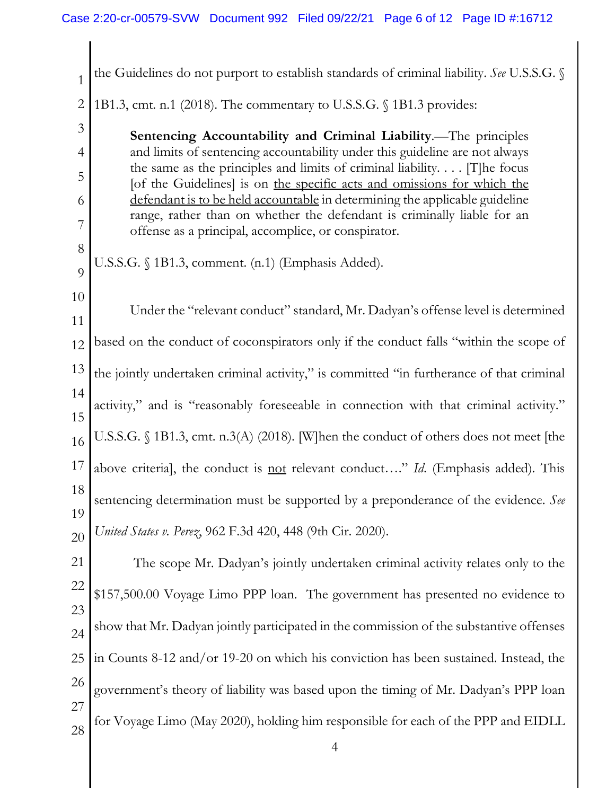| 1         | the Guidelines do not purport to establish standards of criminal liability. See U.S.S.G. §                                                                                                                                           |  |  |  |
|-----------|--------------------------------------------------------------------------------------------------------------------------------------------------------------------------------------------------------------------------------------|--|--|--|
| 2         | 1B1.3, cmt. n.1 (2018). The commentary to U.S.S.G. § 1B1.3 provides:                                                                                                                                                                 |  |  |  |
| 3         | Sentencing Accountability and Criminal Liability.-The principles                                                                                                                                                                     |  |  |  |
| 4         | and limits of sentencing accountability under this guideline are not always<br>the same as the principles and limits of criminal liability $[T]$ he focus<br>[of the Guidelines] is on the specific acts and omissions for which the |  |  |  |
| 5         |                                                                                                                                                                                                                                      |  |  |  |
| 6         | defendant is to be held accountable in determining the applicable guideline<br>range, rather than on whether the defendant is criminally liable for an                                                                               |  |  |  |
| 7         | offense as a principal, accomplice, or conspirator.                                                                                                                                                                                  |  |  |  |
| 8<br>9    | U.S.S.G. § 1B1.3, comment. (n.1) (Emphasis Added).                                                                                                                                                                                   |  |  |  |
| 10        |                                                                                                                                                                                                                                      |  |  |  |
| 11        | Under the "relevant conduct" standard, Mr. Dadyan's offense level is determined                                                                                                                                                      |  |  |  |
| 12        | based on the conduct of coconspirators only if the conduct falls "within the scope of                                                                                                                                                |  |  |  |
| 13        | the jointly undertaken criminal activity," is committed "in furtherance of that criminal                                                                                                                                             |  |  |  |
| 14<br>15  | activity," and is "reasonably foreseeable in connection with that criminal activity."                                                                                                                                                |  |  |  |
| 16        | U.S.S.G. § 1B1.3, cmt. n.3(A) (2018). [W]hen the conduct of others does not meet [the                                                                                                                                                |  |  |  |
| 17        | above criterial, the conduct is not relevant conduct" Id. (Emphasis added). This                                                                                                                                                     |  |  |  |
| 18        | sentencing determination must be supported by a preponderance of the evidence. See                                                                                                                                                   |  |  |  |
| 19        |                                                                                                                                                                                                                                      |  |  |  |
| 20        | United States v. Perez, 962 F.3d 420, 448 (9th Cir. 2020).                                                                                                                                                                           |  |  |  |
| <b>21</b> | The scope Mr. Dadyan's jointly undertaken criminal activity relates only to the                                                                                                                                                      |  |  |  |
| <u>22</u> | \$157,500.00 Voyage Limo PPP loan. The government has presented no evidence to                                                                                                                                                       |  |  |  |
| 23        | show that Mr. Dadyan jointly participated in the commission of the substantive offenses                                                                                                                                              |  |  |  |
| 24        |                                                                                                                                                                                                                                      |  |  |  |
| 25        | in Counts 8-12 and/or 19-20 on which his conviction has been sustained. Instead, the                                                                                                                                                 |  |  |  |
| 26        | government's theory of liability was based upon the timing of Mr. Dadyan's PPP loan                                                                                                                                                  |  |  |  |
| 27<br>28  | for Voyage Limo (May 2020), holding him responsible for each of the PPP and EIDLL                                                                                                                                                    |  |  |  |
|           |                                                                                                                                                                                                                                      |  |  |  |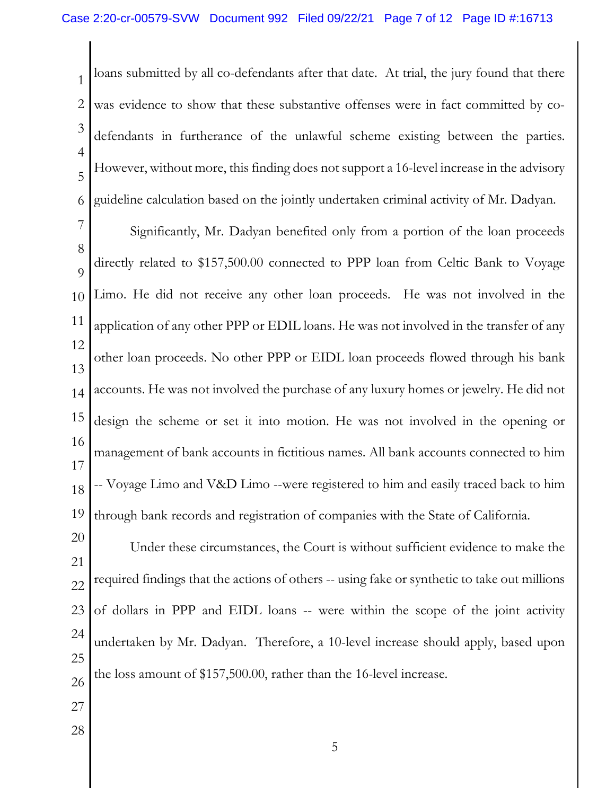1 2 3 4 5 6 loans submitted by all co-defendants after that date. At trial, the jury found that there was evidence to show that these substantive offenses were in fact committed by codefendants in furtherance of the unlawful scheme existing between the parties. However, without more, this finding does not support a 16-level increase in the advisory guideline calculation based on the jointly undertaken criminal activity of Mr. Dadyan.

7 8  $\overline{Q}$ 10 11 12 13 14 15 16 17 18 19 Significantly, Mr. Dadyan benefited only from a portion of the loan proceeds directly related to \$157,500.00 connected to PPP loan from Celtic Bank to Voyage Limo. He did not receive any other loan proceeds. He was not involved in the application of any other PPP or EDIL loans. He was not involved in the transfer of any other loan proceeds. No other PPP or EIDL loan proceeds flowed through his bank accounts. He was not involved the purchase of any luxury homes or jewelry. He did not design the scheme or set it into motion. He was not involved in the opening or management of bank accounts in fictitious names. All bank accounts connected to him -- Voyage Limo and V&D Limo --were registered to him and easily traced back to him through bank records and registration of companies with the State of California.

20 21 22 23 24 25 26 Under these circumstances, the Court is without sufficient evidence to make the required findings that the actions of others -- using fake or synthetic to take out millions of dollars in PPP and EIDL loans -- were within the scope of the joint activity undertaken by Mr. Dadyan. Therefore, a 10-level increase should apply, based upon the loss amount of \$157,500.00, rather than the 16-level increase.

- 27
- 28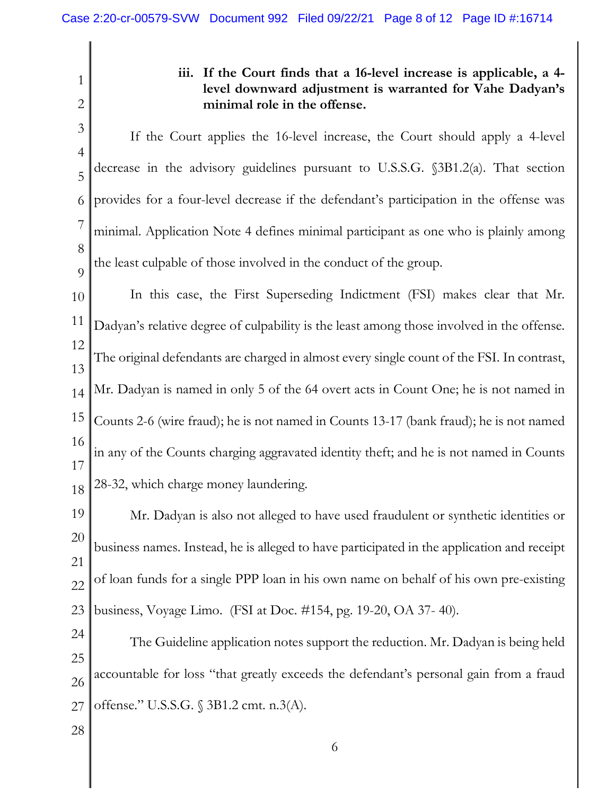1 2 3 4 5 6 7 8  $\overline{Q}$ 10 11 12 13 14 15 16 17 18 19 20 21 22 23 24 25 26 27 **iii. If the Court finds that a 16-level increase is applicable, a 4 level downward adjustment is warranted for Vahe Dadyan's minimal role in the offense.**  If the Court applies the 16-level increase, the Court should apply a 4-level decrease in the advisory guidelines pursuant to U.S.S.G. §3B1.2(a). That section provides for a four-level decrease if the defendant's participation in the offense was minimal. Application Note 4 defines minimal participant as one who is plainly among the least culpable of those involved in the conduct of the group. In this case, the First Superseding Indictment (FSI) makes clear that Mr. Dadyan's relative degree of culpability is the least among those involved in the offense. The original defendants are charged in almost every single count of the FSI. In contrast, Mr. Dadyan is named in only 5 of the 64 overt acts in Count One; he is not named in Counts 2-6 (wire fraud); he is not named in Counts 13-17 (bank fraud); he is not named in any of the Counts charging aggravated identity theft; and he is not named in Counts 28-32, which charge money laundering. Mr. Dadyan is also not alleged to have used fraudulent or synthetic identities or business names. Instead, he is alleged to have participated in the application and receipt of loan funds for a single PPP loan in his own name on behalf of his own pre-existing business, Voyage Limo. (FSI at Doc. #154, pg. 19-20, OA 37- 40). The Guideline application notes support the reduction. Mr. Dadyan is being held accountable for loss "that greatly exceeds the defendant's personal gain from a fraud offense." U.S.S.G. § 3B1.2 cmt. n.3(A).

28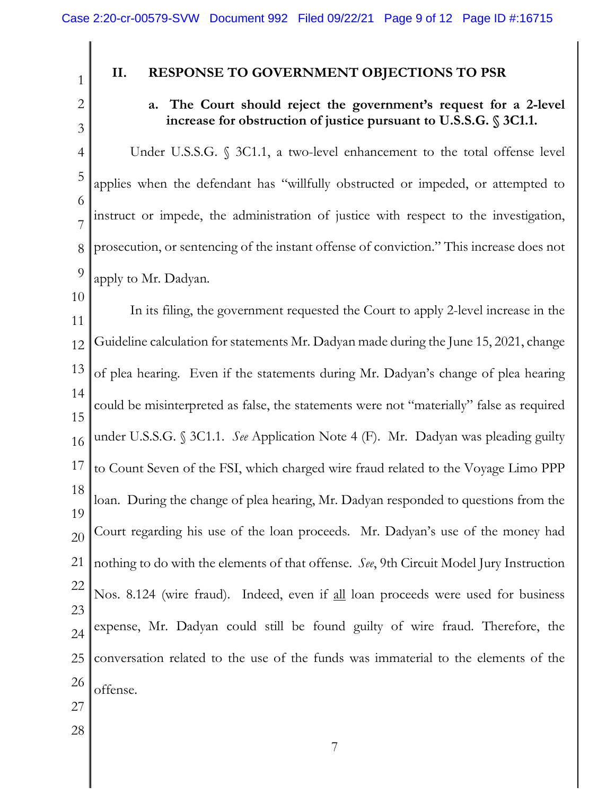## **II. RESPONSE TO GOVERNMENT OBJECTIONS TO PSR**

2 3

4

5

6

7

8

9

10

1

## **a. The Court should reject the government's request for a 2-level increase for obstruction of justice pursuant to U.S.S.G. § 3C1.1.**

Under U.S.S.G. § 3C1.1, a two-level enhancement to the total offense level applies when the defendant has "willfully obstructed or impeded, or attempted to instruct or impede, the administration of justice with respect to the investigation, prosecution, or sentencing of the instant offense of conviction." This increase does not apply to Mr. Dadyan.

11 12 13 14 15 16 17 18 19 20 21 22 23 24 25 26 In its filing, the government requested the Court to apply 2-level increase in the Guideline calculation for statements Mr. Dadyan made during the June 15, 2021, change of plea hearing. Even if the statements during Mr. Dadyan's change of plea hearing could be misinterpreted as false, the statements were not "materially" false as required under U.S.S.G. § 3C1.1. *See* Application Note 4 (F). Mr. Dadyan was pleading guilty to Count Seven of the FSI, which charged wire fraud related to the Voyage Limo PPP loan. During the change of plea hearing, Mr. Dadyan responded to questions from the Court regarding his use of the loan proceeds. Mr. Dadyan's use of the money had nothing to do with the elements of that offense. *See*, 9th Circuit Model Jury Instruction Nos. 8.124 (wire fraud). Indeed, even if all loan proceeds were used for business expense, Mr. Dadyan could still be found guilty of wire fraud. Therefore, the conversation related to the use of the funds was immaterial to the elements of the offense.

- 27
- 28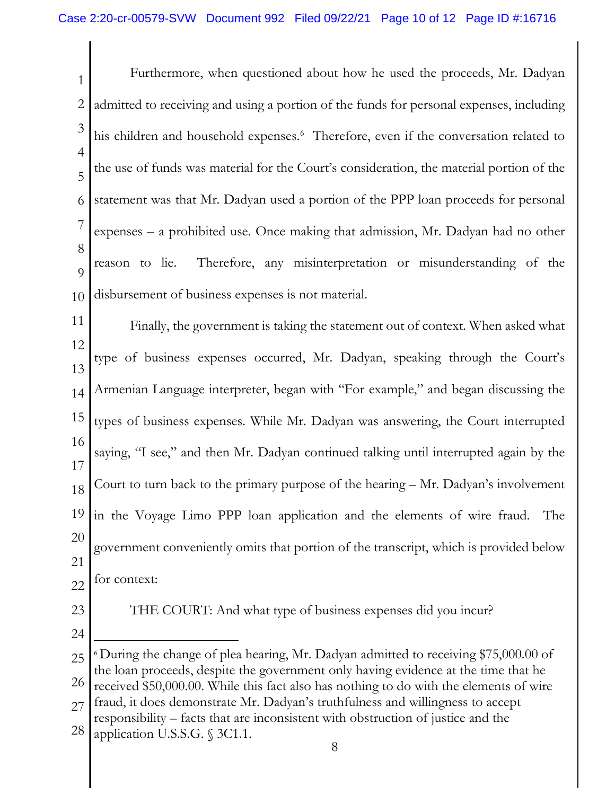1 2 3 4 5 6 7 8  $\overline{Q}$ 10 Furthermore, when questioned about how he used the proceeds, Mr. Dadyan admitted to receiving and using a portion of the funds for personal expenses, including his children and household expenses. [6](#page-9-0) Therefore, even if the conversation related to the use of funds was material for the Court's consideration, the material portion of the statement was that Mr. Dadyan used a portion of the PPP loan proceeds for personal expenses – a prohibited use. Once making that admission, Mr. Dadyan had no other reason to lie. Therefore, any misinterpretation or misunderstanding of the disbursement of business expenses is not material.

11 12 13 14 15 16 17 18 19 20 21 22 Finally, the government is taking the statement out of context. When asked what type of business expenses occurred, Mr. Dadyan, speaking through the Court's Armenian Language interpreter, began with "For example," and began discussing the types of business expenses. While Mr. Dadyan was answering, the Court interrupted saying, "I see," and then Mr. Dadyan continued talking until interrupted again by the Court to turn back to the primary purpose of the hearing – Mr. Dadyan's involvement in the Voyage Limo PPP loan application and the elements of wire fraud. The government conveniently omits that portion of the transcript, which is provided below for context:

23

THE COURT: And what type of business expenses did you incur?

24

<span id="page-9-0"></span>25 26 27 <sup>6</sup> During the change of plea hearing, Mr. Dadyan admitted to receiving \$75,000.00 of the loan proceeds, despite the government only having evidence at the time that he received \$50,000.00. While this fact also has nothing to do with the elements of wire fraud, it does demonstrate Mr. Dadyan's truthfulness and willingness to accept

<sup>28</sup> responsibility – facts that are inconsistent with obstruction of justice and the application U.S.S.G. § 3C1.1.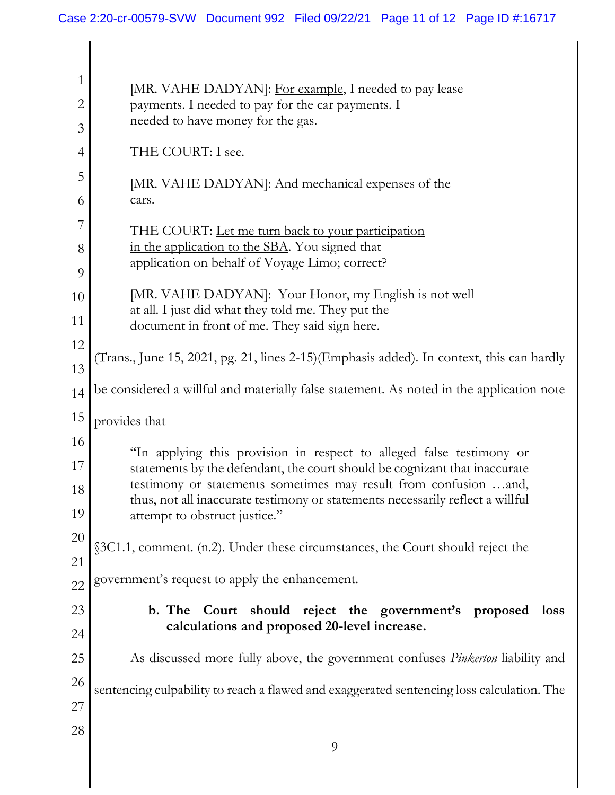| 1              | [MR. VAHE DADYAN]: For example, I needed to pay lease                                                                                          |  |  |
|----------------|------------------------------------------------------------------------------------------------------------------------------------------------|--|--|
| $\overline{2}$ | payments. I needed to pay for the car payments. I<br>needed to have money for the gas.                                                         |  |  |
| 3              |                                                                                                                                                |  |  |
| $\overline{4}$ | THE COURT: I see.                                                                                                                              |  |  |
| 5              | [MR. VAHE DADYAN]: And mechanical expenses of the                                                                                              |  |  |
| 6              | cars.                                                                                                                                          |  |  |
| 7<br>8         | THE COURT: Let me turn back to your participation<br>in the application to the SBA. You signed that                                            |  |  |
| 9              | application on behalf of Voyage Limo; correct?                                                                                                 |  |  |
| 10             | [MR. VAHE DADYAN]: Your Honor, my English is not well                                                                                          |  |  |
| 11             | at all. I just did what they told me. They put the<br>document in front of me. They said sign here.                                            |  |  |
| 12             |                                                                                                                                                |  |  |
| 13             | (Trans., June 15, 2021, pg. 21, lines 2-15)(Emphasis added). In context, this can hardly                                                       |  |  |
| 14             | be considered a willful and materially false statement. As noted in the application note                                                       |  |  |
| 15             | provides that                                                                                                                                  |  |  |
| 16             | "In applying this provision in respect to alleged false testimony or                                                                           |  |  |
| 17             | statements by the defendant, the court should be cognizant that inaccurate<br>testimony or statements sometimes may result from confusion and, |  |  |
| 18<br>19       | thus, not all inaccurate testimony or statements necessarily reflect a willful                                                                 |  |  |
| 20             | attempt to obstruct justice."                                                                                                                  |  |  |
| 21             | §3C1.1, comment. (n.2). Under these circumstances, the Court should reject the                                                                 |  |  |
| 22             | government's request to apply the enhancement.                                                                                                 |  |  |
| 23             | b. The Court should reject the government's proposed<br>loss                                                                                   |  |  |
| 24             | calculations and proposed 20-level increase.                                                                                                   |  |  |
| 25             | As discussed more fully above, the government confuses <i>Pinkerton</i> liability and                                                          |  |  |
| 26             | sentencing culpability to reach a flawed and exaggerated sentencing loss calculation. The                                                      |  |  |
| 27             |                                                                                                                                                |  |  |
| 28             | 9                                                                                                                                              |  |  |
|                |                                                                                                                                                |  |  |